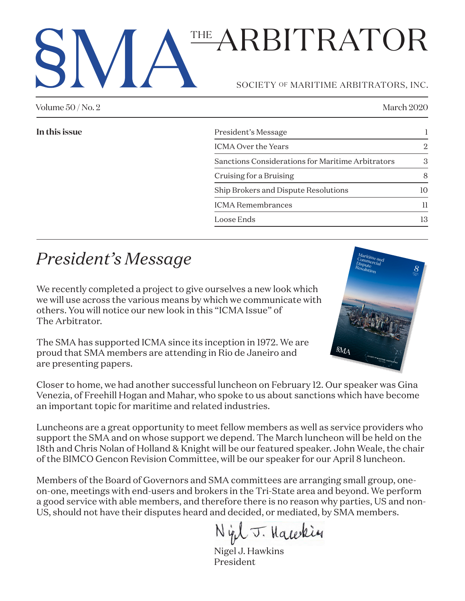# THE ARBITRATOR

SOCIETY OF MARITIME ARBITRATORS, INC.

| Volume $50/No.2$ |                                                   | March 2020   |
|------------------|---------------------------------------------------|--------------|
| In this issue    | President's Message                               |              |
|                  | <b>ICMA Over the Years</b>                        | 2            |
|                  | Sanctions Considerations for Maritime Arbitrators | 3            |
|                  | Cruising for a Bruising                           | 8            |
|                  | Ship Brokers and Dispute Resolutions              | 10           |
|                  | <b>ICMA</b> Remembrances                          | $\mathbf{1}$ |
|                  | Loose Ends                                        | 13           |

## *President's Message*

We recently completed a project to give ourselves a new look which we will use across the various means by which we communicate with others. You will notice our new look in this "ICMA Issue" of The Arbitrator.

The SMA has supported ICMA since its inception in 1972. We are proud that SMA members are attending in Rio de Janeiro and are presenting papers.

Closer to home, we had another successful luncheon on February 12. Our speaker was Gina Venezia, of Freehill Hogan and Mahar, who spoke to us about sanctions which have become an important topic for maritime and related industries.

Luncheons are a great opportunity to meet fellow members as well as service providers who support the SMA and on whose support we depend. The March luncheon will be held on the 18th and Chris Nolan of Holland & Knight will be our featured speaker. John Weale, the chair of the BIMCO Gencon Revision Committee, will be our speaker for our April 8 luncheon.

Members of the Board of Governors and SMA committees are arranging small group, oneon-one, meetings with end-users and brokers in the Tri-State area and beyond. We perform a good service with able members, and therefore there is no reason why parties, US and non-US, should not have their disputes heard and decided, or mediated, by SMA members.

Night. Hacekin

Nigel J. Hawkins President

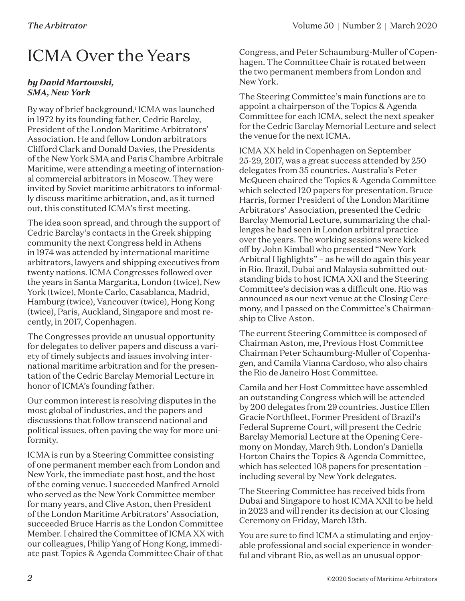## ICMA Over the Years

#### *by David Martowski, SMA, New York*

By way of brief background,<sup>1</sup> ICMA was launched in 1972 by its founding father, Cedric Barclay, President of the London Maritime Arbitrators' Association. He and fellow London arbitrators Clifford Clark and Donald Davies, the Presidents of the New York SMA and Paris Chambre Arbitrale Maritime, were attending a meeting of international commercial arbitrators in Moscow. They were invited by Soviet maritime arbitrators to informally discuss maritime arbitration, and, as it turned out, this constituted ICMA's first meeting.

The idea soon spread, and through the support of Cedric Barclay's contacts in the Greek shipping community the next Congress held in Athens in 1974 was attended by international maritime arbitrators, lawyers and shipping executives from twenty nations. ICMA Congresses followed over the years in Santa Margarita, London (twice), New York (twice), Monte Carlo, Casablanca, Madrid, Hamburg (twice), Vancouver (twice), Hong Kong (twice), Paris, Auckland, Singapore and most recently, in 2017, Copenhagen.

The Congresses provide an unusual opportunity for delegates to deliver papers and discuss a variety of timely subjects and issues involving international maritime arbitration and for the presentation of the Cedric Barclay Memorial Lecture in honor of ICMA's founding father.

Our common interest is resolving disputes in the most global of industries, and the papers and discussions that follow transcend national and political issues, often paving the way for more uniformity.

ICMA is run by a Steering Committee consisting of one permanent member each from London and New York, the immediate past host, and the host of the coming venue. I succeeded Manfred Arnold who served as the New York Committee member for many years, and Clive Aston, then President of the London Maritime Arbitrators' Association, succeeded Bruce Harris as the London Committee Member. I chaired the Committee of ICMA XX with our colleagues, Philip Yang of Hong Kong, immediate past Topics & Agenda Committee Chair of that

Congress, and Peter Schaumburg-Muller of Copenhagen. The Committee Chair is rotated between the two permanent members from London and New York.

The Steering Committee's main functions are to appoint a chairperson of the Topics & Agenda Committee for each ICMA, select the next speaker for the Cedric Barclay Memorial Lecture and select the venue for the next ICMA.

ICMA XX held in Copenhagen on September 25-29, 2017, was a great success attended by 250 delegates from 35 countries. Australia's Peter McQueen chaired the Topics & Agenda Committee which selected 120 papers for presentation. Bruce Harris, former President of the London Maritime Arbitrators' Association, presented the Cedric Barclay Memorial Lecture, summarizing the challenges he had seen in London arbitral practice over the years. The working sessions were kicked off by John Kimball who presented "New York Arbitral Highlights" – as he will do again this year in Rio. Brazil, Dubai and Malaysia submitted outstanding bids to host ICMA XXI and the Steering Committee's decision was a difficult one. Rio was announced as our next venue at the Closing Ceremony, and I passed on the Committee's Chairmanship to Clive Aston.

The current Steering Committee is composed of Chairman Aston, me, Previous Host Committee Chairman Peter Schaumburg-Muller of Copenhagen, and Camila Vianna Cardoso, who also chairs the Rio de Janeiro Host Committee.

Camila and her Host Committee have assembled an outstanding Congress which will be attended by 200 delegates from 29 countries. Justice Ellen Gracie Northfleet, Former President of Brazil's Federal Supreme Court, will present the Cedric Barclay Memorial Lecture at the Opening Ceremony on Monday, March 9th. London's Daniella Horton Chairs the Topics & Agenda Committee, which has selected 108 papers for presentation – including several by New York delegates.

The Steering Committee has received bids from Dubai and Singapore to host ICMA XXII to be held in 2023 and will render its decision at our Closing Ceremony on Friday, March 13th.

You are sure to find ICMA a stimulating and enjoyable professional and social experience in wonderful and vibrant Rio, as well as an unusual oppor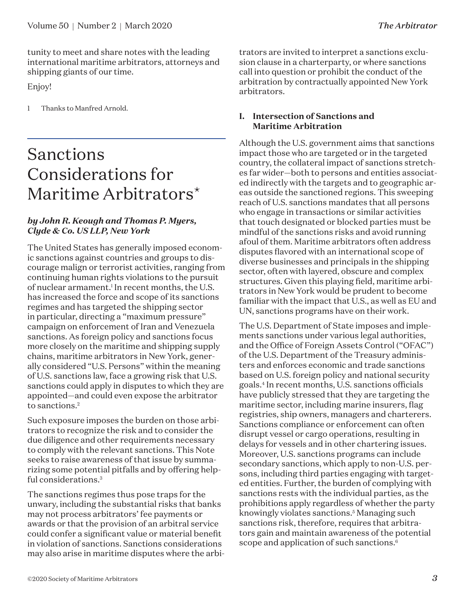tunity to meet and share notes with the leading international maritime arbitrators, attorneys and shipping giants of our time.

Enjoy!

1 Thanks to Manfred Arnold.

## Sanctions Considerations for Maritime Arbitrators\*

#### *by John R. Keough and Thomas P. Myers, Clyde & Co. US LLP, New York*

The United States has generally imposed economic sanctions against countries and groups to discourage malign or terrorist activities, ranging from continuing human rights violations to the pursuit of nuclear armament.1 In recent months, the U.S. has increased the force and scope of its sanctions regimes and has targeted the shipping sector in particular, directing a "maximum pressure" campaign on enforcement of Iran and Venezuela sanctions. As foreign policy and sanctions focus more closely on the maritime and shipping supply chains, maritime arbitrators in New York, generally considered "U.S. Persons" within the meaning of U.S. sanctions law, face a growing risk that U.S. sanctions could apply in disputes to which they are appointed—and could even expose the arbitrator to sanctions.<sup>2</sup>

Such exposure imposes the burden on those arbitrators to recognize the risk and to consider the due diligence and other requirements necessary to comply with the relevant sanctions. This Note seeks to raise awareness of that issue by summarizing some potential pitfalls and by offering helpful considerations.3

The sanctions regimes thus pose traps for the unwary, including the substantial risks that banks may not process arbitrators' fee payments or awards or that the provision of an arbitral service could confer a significant value or material benefit in violation of sanctions. Sanctions considerations may also arise in maritime disputes where the arbitrators are invited to interpret a sanctions exclusion clause in a charterparty, or where sanctions call into question or prohibit the conduct of the arbitration by contractually appointed New York arbitrators.

#### **I. Intersection of Sanctions and Maritime Arbitration**

Although the U.S. government aims that sanctions impact those who are targeted or in the targeted country, the collateral impact of sanctions stretches far wider—both to persons and entities associated indirectly with the targets and to geographic areas outside the sanctioned regions. This sweeping reach of U.S. sanctions mandates that all persons who engage in transactions or similar activities that touch designated or blocked parties must be mindful of the sanctions risks and avoid running afoul of them. Maritime arbitrators often address disputes flavored with an international scope of diverse businesses and principals in the shipping sector, often with layered, obscure and complex structures. Given this playing field, maritime arbitrators in New York would be prudent to become familiar with the impact that U.S., as well as EU and UN, sanctions programs have on their work.

The U.S. Department of State imposes and implements sanctions under various legal authorities, and the Office of Foreign Assets Control ("OFAC") of the U.S. Department of the Treasury administers and enforces economic and trade sanctions based on U.S. foreign policy and national security goals.4 In recent months, U.S. sanctions officials have publicly stressed that they are targeting the maritime sector, including marine insurers, flag registries, ship owners, managers and charterers. Sanctions compliance or enforcement can often disrupt vessel or cargo operations, resulting in delays for vessels and in other chartering issues. Moreover, U.S. sanctions programs can include secondary sanctions, which apply to non-U.S. persons, including third parties engaging with targeted entities. Further, the burden of complying with sanctions rests with the individual parties, as the prohibitions apply regardless of whether the party knowingly violates sanctions.5 Managing such sanctions risk, therefore, requires that arbitrators gain and maintain awareness of the potential scope and application of such sanctions.<sup>6</sup>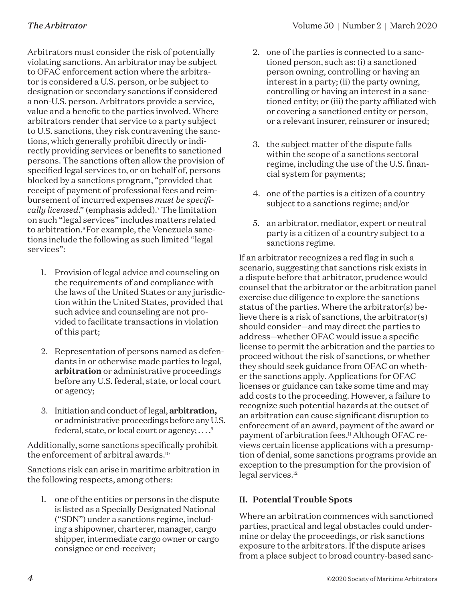Arbitrators must consider the risk of potentially violating sanctions. An arbitrator may be subject to OFAC enforcement action where the arbitrator is considered a U.S. person, or be subject to designation or secondary sanctions if considered a non-U.S. person. Arbitrators provide a service, value and a benefit to the parties involved. Where arbitrators render that service to a party subject to U.S. sanctions, they risk contravening the sanctions, which generally prohibit directly or indirectly providing services or benefits to sanctioned persons. The sanctions often allow the provision of specified legal services to, or on behalf of, persons blocked by a sanctions program, "provided that receipt of payment of professional fees and reimbursement of incurred expenses *must be specifically licensed*." (emphasis added).7 The limitation on such "legal services" includes matters related to arbitration.<sup>8</sup> For example, the Venezuela sanctions include the following as such limited "legal services":

- 1. Provision of legal advice and counseling on the requirements of and compliance with the laws of the United States or any jurisdiction within the United States, provided that such advice and counseling are not provided to facilitate transactions in violation of this part;
- 2. Representation of persons named as defendants in or otherwise made parties to legal, **arbitration** or administrative proceedings before any U.S. federal, state, or local court or agency;
- 3. Initiation and conduct of legal, **arbitration,**  or administrative proceedings before any U.S. federal, state, or local court or agency;  $\dots$ .<sup>9</sup>

Additionally, some sanctions specifically prohibit the enforcement of arbitral awards.<sup>10</sup>

Sanctions risk can arise in maritime arbitration in the following respects, among others:

1. one of the entities or persons in the dispute is listed as a Specially Designated National ("SDN") under a sanctions regime, including a shipowner, charterer, manager, cargo shipper, intermediate cargo owner or cargo consignee or end-receiver;

- 2. one of the parties is connected to a sanctioned person, such as: (i) a sanctioned person owning, controlling or having an interest in a party; (ii) the party owning, controlling or having an interest in a sanctioned entity; or (iii) the party affiliated with or covering a sanctioned entity or person, or a relevant insurer, reinsurer or insured;
- 3. the subject matter of the dispute falls within the scope of a sanctions sectoral regime, including the use of the U.S. financial system for payments;
- 4. one of the parties is a citizen of a country subject to a sanctions regime; and/or
- 5. an arbitrator, mediator, expert or neutral party is a citizen of a country subject to a sanctions regime.

If an arbitrator recognizes a red flag in such a scenario, suggesting that sanctions risk exists in a dispute before that arbitrator, prudence would counsel that the arbitrator or the arbitration panel exercise due diligence to explore the sanctions status of the parties. Where the arbitrator(s) believe there is a risk of sanctions, the arbitrator(s) should consider—and may direct the parties to address—whether OFAC would issue a specific license to permit the arbitration and the parties to proceed without the risk of sanctions, or whether they should seek guidance from OFAC on whether the sanctions apply. Applications for OFAC licenses or guidance can take some time and may add costs to the proceeding. However, a failure to recognize such potential hazards at the outset of an arbitration can cause significant disruption to enforcement of an award, payment of the award or payment of arbitration fees.<sup>11</sup> Although OFAC reviews certain license applications with a presumption of denial, some sanctions programs provide an exception to the presumption for the provision of legal services.<sup>12</sup>

#### **II. Potential Trouble Spots**

Where an arbitration commences with sanctioned parties, practical and legal obstacles could undermine or delay the proceedings, or risk sanctions exposure to the arbitrators. If the dispute arises from a place subject to broad country-based sanc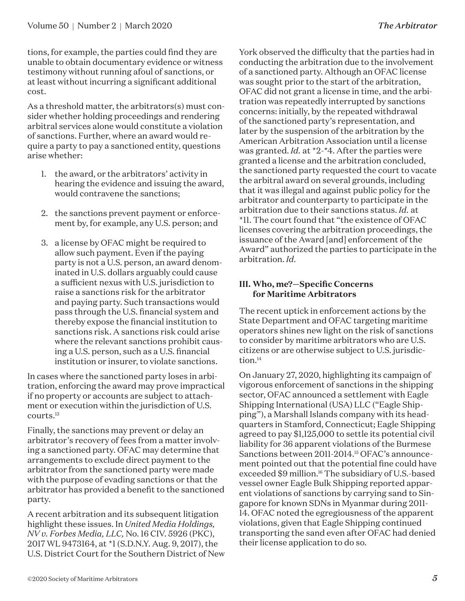tions, for example, the parties could find they are unable to obtain documentary evidence or witness testimony without running afoul of sanctions, or at least without incurring a significant additional cost.

As a threshold matter, the arbitrators(s) must consider whether holding proceedings and rendering arbitral services alone would constitute a violation of sanctions. Further, where an award would require a party to pay a sanctioned entity, questions arise whether:

- 1. the award, or the arbitrators' activity in hearing the evidence and issuing the award, would contravene the sanctions;
- 2. the sanctions prevent payment or enforcement by, for example, any U.S. person; and
- 3. a license by OFAC might be required to allow such payment. Even if the paying party is not a U.S. person, an award denominated in U.S. dollars arguably could cause a sufficient nexus with U.S. jurisdiction to raise a sanctions risk for the arbitrator and paying party. Such transactions would pass through the U.S. financial system and thereby expose the financial institution to sanctions risk. A sanctions risk could arise where the relevant sanctions prohibit causing a U.S. person, such as a U.S. financial institution or insurer, to violate sanctions.

In cases where the sanctioned party loses in arbitration, enforcing the award may prove impractical if no property or accounts are subject to attachment or execution within the jurisdiction of U.S. courts.13

Finally, the sanctions may prevent or delay an arbitrator's recovery of fees from a matter involving a sanctioned party. OFAC may determine that arrangements to exclude direct payment to the arbitrator from the sanctioned party were made with the purpose of evading sanctions or that the arbitrator has provided a benefit to the sanctioned party.

A recent arbitration and its subsequent litigation highlight these issues. In *United Media Holdings, NV v. Forbes Media, LLC,* No. 16 CIV. 5926 (PKC), 2017 WL 9473164, at \*1 (S.D.N.Y. Aug. 9, 2017), the U.S. District Court for the Southern District of New York observed the difficulty that the parties had in conducting the arbitration due to the involvement of a sanctioned party. Although an OFAC license was sought prior to the start of the arbitration, OFAC did not grant a license in time, and the arbitration was repeatedly interrupted by sanctions concerns: initially, by the repeated withdrawal of the sanctioned party's representation, and later by the suspension of the arbitration by the American Arbitration Association until a license was granted. *Id.* at \*2-\*4. After the parties were granted a license and the arbitration concluded, the sanctioned party requested the court to vacate the arbitral award on several grounds, including that it was illegal and against public policy for the arbitrator and counterparty to participate in the arbitration due to their sanctions status. *Id.* at \*11. The court found that "the existence of OFAC licenses covering the arbitration proceedings, the issuance of the Award [and] enforcement of the Award" authorized the parties to participate in the arbitration. *Id.*

#### **III. Who, me?—Specific Concerns for Maritime Arbitrators**

The recent uptick in enforcement actions by the State Department and OFAC targeting maritime operators shines new light on the risk of sanctions to consider by maritime arbitrators who are U.S. citizens or are otherwise subject to U.S. jurisdiction.<sup>14</sup>

On January 27, 2020, highlighting its campaign of vigorous enforcement of sanctions in the shipping sector, OFAC announced a settlement with Eagle Shipping International (USA) LLC ("Eagle Shipping"), a Marshall Islands company with its headquarters in Stamford, Connecticut; Eagle Shipping agreed to pay \$1,125,000 to settle its potential civil liability for 36 apparent violations of the Burmese Sanctions between 2011-2014.15 OFAC's announcement pointed out that the potential fine could have exceeded \$9 million.<sup>16</sup> The subsidiary of U.S.-based vessel owner Eagle Bulk Shipping reported apparent violations of sanctions by carrying sand to Singapore for known SDNs in Myanmar during 2011- 14. OFAC noted the egregiousness of the apparent violations, given that Eagle Shipping continued transporting the sand even after OFAC had denied their license application to do so.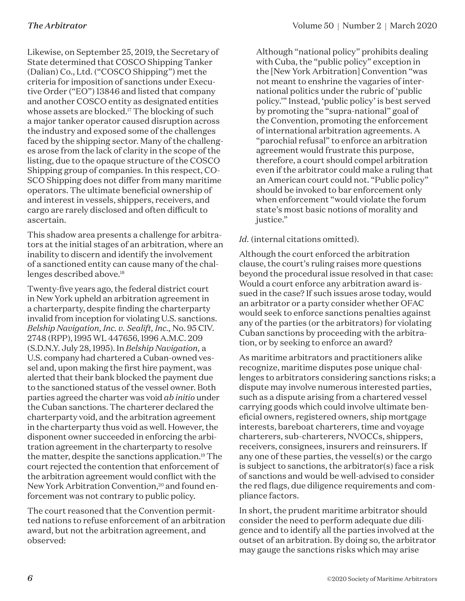Likewise, on September 25, 2019, the Secretary of State determined that COSCO Shipping Tanker (Dalian) Co., Ltd. ("COSCO Shipping") met the criteria for imposition of sanctions under Executive Order ("EO") 13846 and listed that company and another COSCO entity as designated entities whose assets are blocked.<sup>17</sup> The blocking of such a major tanker operator caused disruption across the industry and exposed some of the challenges faced by the shipping sector. Many of the challenges arose from the lack of clarity in the scope of the listing, due to the opaque structure of the COSCO Shipping group of companies. In this respect, CO-SCO Shipping does not differ from many maritime operators. The ultimate beneficial ownership of and interest in vessels, shippers, receivers, and cargo are rarely disclosed and often difficult to ascertain.

This shadow area presents a challenge for arbitrators at the initial stages of an arbitration, where an inability to discern and identify the involvement of a sanctioned entity can cause many of the challenges described above.18

Twenty-five years ago, the federal district court in New York upheld an arbitration agreement in a charterparty, despite finding the charterparty invalid from inception for violating U.S. sanctions. *Belship Navigation, Inc. v. Sealift, Inc.,* No. 95 CIV. 2748 (RPP), 1995 WL 447656, 1996 A.M.C. 209 (S.D.N.Y. July 28, 1995). In *Belship Navigation,* a U.S. company had chartered a Cuban-owned vessel and, upon making the first hire payment, was alerted that their bank blocked the payment due to the sanctioned status of the vessel owner. Both parties agreed the charter was void *ab initio* under the Cuban sanctions. The charterer declared the charterparty void, and the arbitration agreement in the charterparty thus void as well. However, the disponent owner succeeded in enforcing the arbitration agreement in the charterparty to resolve the matter, despite the sanctions application.19 The court rejected the contention that enforcement of the arbitration agreement would conflict with the New York Arbitration Convention,<sup>20</sup> and found enforcement was not contrary to public policy.

The court reasoned that the Convention permitted nations to refuse enforcement of an arbitration award, but not the arbitration agreement, and observed:

Although "national policy" prohibits dealing with Cuba, the "public policy" exception in the [New York Arbitration] Convention "was not meant to enshrine the vagaries of international politics under the rubric of 'public policy.'" Instead, 'public policy' is best served by promoting the "supra-national" goal of the Convention, promoting the enforcement of international arbitration agreements. A "parochial refusal" to enforce an arbitration agreement would frustrate this purpose, therefore, a court should compel arbitration even if the arbitrator could make a ruling that an American court could not. "Public policy" should be invoked to bar enforcement only when enforcement "would violate the forum state's most basic notions of morality and justice."

#### *Id.* (internal citations omitted).

Although the court enforced the arbitration clause, the court's ruling raises more questions beyond the procedural issue resolved in that case: Would a court enforce any arbitration award issued in the case? If such issues arose today, would an arbitrator or a party consider whether OFAC would seek to enforce sanctions penalties against any of the parties (or the arbitrators) for violating Cuban sanctions by proceeding with the arbitration, or by seeking to enforce an award?

As maritime arbitrators and practitioners alike recognize, maritime disputes pose unique challenges to arbitrators considering sanctions risks; a dispute may involve numerous interested parties, such as a dispute arising from a chartered vessel carrying goods which could involve ultimate beneficial owners, registered owners, ship mortgage interests, bareboat charterers, time and voyage charterers, sub-charterers, NVOCCs, shippers, receivers, consignees, insurers and reinsurers. If any one of these parties, the vessel(s) or the cargo is subject to sanctions, the arbitrator(s) face a risk of sanctions and would be well-advised to consider the red flags, due diligence requirements and compliance factors.

In short, the prudent maritime arbitrator should consider the need to perform adequate due diligence and to identify all the parties involved at the outset of an arbitration. By doing so, the arbitrator may gauge the sanctions risks which may arise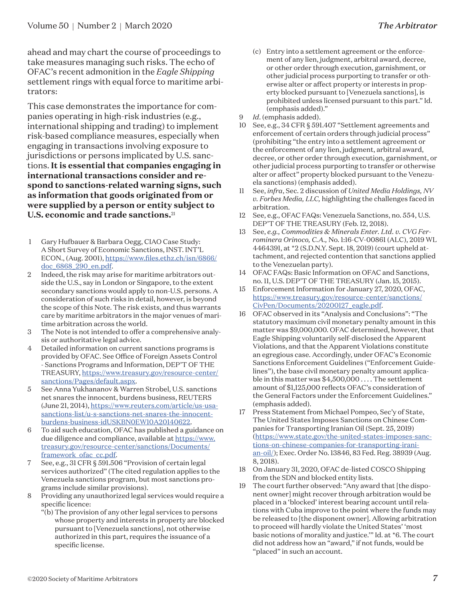ahead and may chart the course of proceedings to take measures managing such risks. The echo of OFAC's recent admonition in the *Eagle Shipping* settlement rings with equal force to maritime arbitrators:

This case demonstrates the importance for companies operating in high-risk industries (e.g., international shipping and trading) to implement risk-based compliance measures, especially when engaging in transactions involving exposure to jurisdictions or persons implicated by U.S. sanctions. **It is essential that companies engaging in international transactions consider and respond to sanctions-related warning signs, such as information that goods originated from or were supplied by a person or entity subject to U.S. economic and trade sanctions.**<sup>21</sup>

- 1 Gary Hufbauer & Barbara Oegg, CIAO Case Study: A Short Survey of Economic Sanctions, INST. INT'L ECON., (Aug. 2001), [https://www.files.ethz.ch/isn/6866/](https://www.files.ethz.ch/isn/6866/doc_6868_290_en.pdf) [doc\\_6868\\_290\\_en.pdf.](https://www.files.ethz.ch/isn/6866/doc_6868_290_en.pdf)
- 2 Indeed, the risk may arise for maritime arbitrators outside the U.S., say in London or Singapore, to the extent secondary sanctions would apply to non-U.S. persons. A consideration of such risks in detail, however, is beyond the scope of this Note. The risk exists, and thus warrants care by maritime arbitrators in the major venues of maritime arbitration across the world.
- 3 The Note is not intended to offer a comprehensive analysis or authoritative legal advice.
- 4 Detailed information on current sanctions programs is provided by OFAC. See Office of Foreign Assets Control - Sanctions Programs and Information, DEP'T OF THE TREASURY, [https://www.treasury.gov/resource-center/](https://www.treasury.gov/resource-center/sanctions/Pages/default.aspx) [sanctions/Pages/default.aspx](https://www.treasury.gov/resource-center/sanctions/Pages/default.aspx).
- 5 See Anna Yukhananov & Warren Strobel, U.S. sanctions net snares the innocent, burdens business, REUTERS (June 21, 2014), [https://www.reuters.com/article/us-usa](https://www.reuters.com/article/us-usa-sanctions-list/u-s-sanctions-net-snares-the-innocent-burdens-business-idUSKBN0EW10A20140622)[sanctions-list/u-s-sanctions-net-snares-the-innocent](https://www.reuters.com/article/us-usa-sanctions-list/u-s-sanctions-net-snares-the-innocent-burdens-business-idUSKBN0EW10A20140622)[burdens-business-idUSKBN0EW10A20140622.](https://www.reuters.com/article/us-usa-sanctions-list/u-s-sanctions-net-snares-the-innocent-burdens-business-idUSKBN0EW10A20140622)
- 6 To aid such education, OFAC has published a guidance on due diligence and compliance, available at [https://www.](https://www.treasury.gov/resource-center/sanctions/Documents/framework_ofac_cc.pdf) [treasury.gov/resource-center/sanctions/Documents/](https://www.treasury.gov/resource-center/sanctions/Documents/framework_ofac_cc.pdf) [framework\\_ofac\\_cc.pdf](https://www.treasury.gov/resource-center/sanctions/Documents/framework_ofac_cc.pdf).
- 7 See, e.g., 31 CFR § 591.506 "Provision of certain legal services authorized" (The cited regulation applies to the Venezuela sanctions program, but most sanctions programs include similar provisions).
- 8 Providing any unauthorized legal services would require a specific licence:
	- "(b) The provision of any other legal services to persons whose property and interests in property are blocked pursuant to [Venezuela sanctions], not otherwise authorized in this part, requires the issuance of a specific license.
- (c) Entry into a settlement agreement or the enforcement of any lien, judgment, arbitral award, decree, or other order through execution, garnishment, or other judicial process purporting to transfer or otherwise alter or affect property or interests in property blocked pursuant to [Venezuela sanctions], is prohibited unless licensed pursuant to this part." Id. (emphasis added)."
- 9 *Id*. (emphasis added).
- 10 See, e.g., 34 CFR § 591.407 "Settlement agreements and enforcement of certain orders through judicial process" (prohibiting "the entry into a settlement agreement or the enforcement of any lien, judgment, arbitral award, decree, or other order through execution, garnishment, or other judicial process purporting to transfer or otherwise alter or affect" property blocked pursuant to the Venezuela sanctions) (emphasis added).
- 11 See, *infra*, Sec. 2 discussion of *United Media Holdings, NV v. Forbes Media, LLC,* highlighting the challenges faced in arbitration.
- 12 See, e.g., OFAC FAQs: Venezuela Sanctions, no. 554, U.S. DEP'T OF THE TREASURY (Feb. 12, 2018).
- 13 See, *e.g., Commodities & Minerals Enter. Ltd. v. CVG Ferrominera Orinoco, C.A.,* No. 1:16-CV-00861 (ALC), 2019 WL 4464391, at \*2 (S.D.N.Y. Sept. 18, 2019) (court upheld attachment, and rejected contention that sanctions applied to the Venezuelan party).
- 14 OFAC FAQs: Basic Information on OFAC and Sanctions, no. 11, U.S. DEP'T OF THE TREASURY (Jan. 15, 2015).
- 15 Enforcement Information for January 27, 2020, OFAC, [https://www.treasury.gov/resource-center/sanctions/](https://www.treasury.gov/resource-center/sanctions/CivPen/Documents/20200127_eagle.pdf) [CivPen/Documents/20200127\\_eagle.pdf](https://www.treasury.gov/resource-center/sanctions/CivPen/Documents/20200127_eagle.pdf).
- 16 OFAC observed in its "Analysis and Conclusions": "The statutory maximum civil monetary penalty amount in this matter was \$9,000,000. OFAC determined, however, that Eagle Shipping voluntarily self-disclosed the Apparent Violations, and that the Apparent Violations constitute an egregious case. Accordingly, under OFAC's Economic Sanctions Enforcement Guidelines ("Enforcement Guidelines"), the base civil monetary penalty amount applicable in this matter was \$4,500,000 . . . . The settlement amount of \$1,125,000 reflects OFAC's consideration of the General Factors under the Enforcement Guidelines." (emphasis added).
- 17 Press Statement from Michael Pompeo, Sec'y of State, The United States Imposes Sanctions on Chinese Companies for Transporting Iranian Oil (Sept. 25, 2019) [\(https://www.state.gov/the-united-states-imposes-sanc](https://www.state.gov/the-united-states-imposes-sanctions-on-chinese-companies-for-transporting-iranian-oil/)[tions-on-chinese-companies-for-transporting-irani](https://www.state.gov/the-united-states-imposes-sanctions-on-chinese-companies-for-transporting-iranian-oil/)[an-oil/](https://www.state.gov/the-united-states-imposes-sanctions-on-chinese-companies-for-transporting-iranian-oil/)); Exec. Order No. 13846, 83 Fed. Reg. 38939 (Aug. 8, 2018).
- 18 On January 31, 2020, OFAC de-listed COSCO Shipping from the SDN and blocked entity lists.
- 19 The court further observed: "Any award that [the disponent owner] might recover through arbitration would be placed in a 'blocked' interest bearing account until relations with Cuba improve to the point where the funds may be released to [the disponent owner]. Allowing arbitration to proceed will hardly violate the United States' 'most basic notions of morality and justice.'" Id. at \*6. The court did not address how an "award," if not funds, would be "placed" in such an account.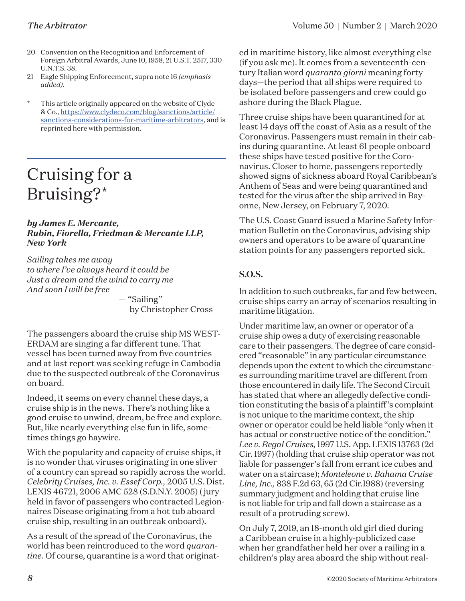- 20 Convention on the Recognition and Enforcement of Foreign Arbitral Awards, June 10, 1958, 21 U.S.T. 2517, 330 U.N.T.S. 38.
- 21 Eagle Shipping Enforcement, supra note 16 *(emphasis added)*.
- This article originally appeared on the website of Clyde & Co., [https://www.clydeco.com/blog/sanctions/article/](https://www.clydeco.com/blog/sanctions/article/sanctions-considerations-for-maritime-arbitrators) [sanctions-considerations-for-maritime-arbitrators](https://www.clydeco.com/blog/sanctions/article/sanctions-considerations-for-maritime-arbitrators), and is reprinted here with permission.

## Cruising for a Bruising?\*

#### *by James E. Mercante, Rubin, Fiorella, Friedman & Mercante LLP, New York*

*Sailing takes me away to where I've always heard it could be Just a dream and the wind to carry me And soon I will be free* 

— "Sailing" by Christopher Cross

The passengers aboard the cruise ship MS WEST-ERDAM are singing a far different tune. That vessel has been turned away from five countries and at last report was seeking refuge in Cambodia due to the suspected outbreak of the Coronavirus on board.

Indeed, it seems on every channel these days, a cruise ship is in the news. There's nothing like a good cruise to unwind, dream, be free and explore. But, like nearly everything else fun in life, sometimes things go haywire.

With the popularity and capacity of cruise ships, it is no wonder that viruses originating in one sliver of a country can spread so rapidly across the world. *Celebrity Cruises, Inc. v. Essef Corp.,* 2005 U.S. Dist. LEXIS 46721, 2006 AMC 528 (S.D.N.Y. 2005) ( jury held in favor of passengers who contracted Legionnaires Disease originating from a hot tub aboard cruise ship, resulting in an outbreak onboard).

As a result of the spread of the Coronavirus, the world has been reintroduced to the word *quarantine.* Of course, quarantine is a word that originated in maritime history, like almost everything else (if you ask me). It comes from a seventeenth-century Italian word *quaranta giorni* meaning forty days—the period that all ships were required to be isolated before passengers and crew could go ashore during the Black Plague.

Three cruise ships have been quarantined for at least 14 days off the coast of Asia as a result of the Coronavirus. Passengers must remain in their cabins during quarantine. At least 61 people onboard these ships have tested positive for the Coronavirus. Closer to home, passengers reportedly showed signs of sickness aboard Royal Caribbean's Anthem of Seas and were being quarantined and tested for the virus after the ship arrived in Bayonne, New Jersey, on February 7, 2020.

The U.S. Coast Guard issued a Marine Safety Information Bulletin on the Coronavirus, advising ship owners and operators to be aware of quarantine station points for any passengers reported sick.

#### **S.O.S.**

In addition to such outbreaks, far and few between, cruise ships carry an array of scenarios resulting in maritime litigation.

Under maritime law, an owner or operator of a cruise ship owes a duty of exercising reasonable care to their passengers. The degree of care considered "reasonable" in any particular circumstance depends upon the extent to which the circumstances surrounding maritime travel are different from those encountered in daily life. The Second Circuit has stated that where an allegedly defective condition constituting the basis of a plaintiff 's complaint is not unique to the maritime context, the ship owner or operator could be held liable "only when it has actual or constructive notice of the condition." *Lee v. Regal Cruises,* 1997 U.S. App. LEXIS 13763 (2d Cir. 1997) (holding that cruise ship operator was not liable for passenger's fall from errant ice cubes and water on a staircase); *Monteleone v. Bahama Cruise Line, Inc.,* 838 F.2d 63, 65 (2d Cir.1988) (reversing summary judgment and holding that cruise line is not liable for trip and fall down a staircase as a result of a protruding screw).

On July 7, 2019, an 18-month old girl died during a Caribbean cruise in a highly-publicized case when her grandfather held her over a railing in a children's play area aboard the ship without real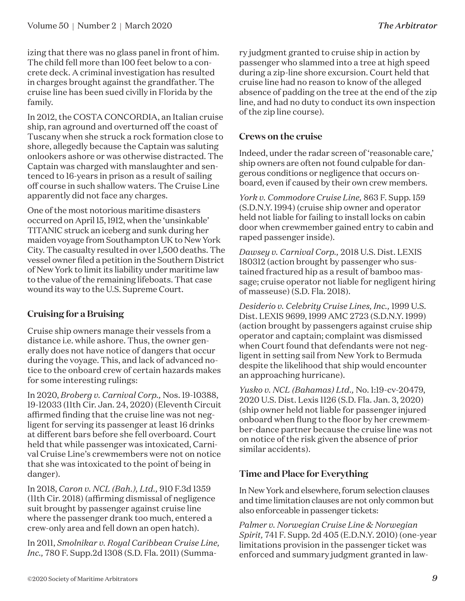izing that there was no glass panel in front of him. The child fell more than 100 feet below to a concrete deck. A criminal investigation has resulted in charges brought against the grandfather. The cruise line has been sued civilly in Florida by the family.

In 2012, the COSTA CONCORDIA, an Italian cruise ship, ran aground and overturned off the coast of Tuscany when she struck a rock formation close to shore, allegedly because the Captain was saluting onlookers ashore or was otherwise distracted. The Captain was charged with manslaughter and sentenced to 16-years in prison as a result of sailing off course in such shallow waters. The Cruise Line apparently did not face any charges.

One of the most notorious maritime disasters occurred on April 15, 1912, when the 'unsinkable' TITANIC struck an iceberg and sunk during her maiden voyage from Southampton UK to New York City. The casualty resulted in over 1,500 deaths. The vessel owner filed a petition in the Southern District of New York to limit its liability under maritime law to the value of the remaining lifeboats. That case wound its way to the U.S. Supreme Court.

#### **Cruising for a Bruising**

Cruise ship owners manage their vessels from a distance i.e. while ashore. Thus, the owner generally does not have notice of dangers that occur during the voyage. This, and lack of advanced notice to the onboard crew of certain hazards makes for some interesting rulings:

In 2020, *Broberg v. Carnival Corp.,* Nos. 19-10388, 19-12033 (11th Cir. Jan. 24, 2020) (Eleventh Circuit affirmed finding that the cruise line was not negligent for serving its passenger at least 16 drinks at different bars before she fell overboard. Court held that while passenger was intoxicated, Carnival Cruise Line's crewmembers were not on notice that she was intoxicated to the point of being in danger).

In 2018, *Caron v. NCL (Bah.), Ltd.,* 910 F.3d 1359 (11th Cir. 2018) (affirming dismissal of negligence suit brought by passenger against cruise line where the passenger drank too much, entered a crew-only area and fell down an open hatch).

In 2011, *Smolnikar v. Royal Caribbean Cruise Line, Inc.,* 780 F. Supp.2d 1308 (S.D. Fla. 2011) (Summary judgment granted to cruise ship in action by passenger who slammed into a tree at high speed during a zip-line shore excursion. Court held that cruise line had no reason to know of the alleged absence of padding on the tree at the end of the zip line, and had no duty to conduct its own inspection of the zip line course).

#### **Crews on the cruise**

Indeed, under the radar screen of 'reasonable care,' ship owners are often not found culpable for dangerous conditions or negligence that occurs onboard, even if caused by their own crew members.

*York v. Commodore Cruise Line,* 863 F. Supp. 159 (S.D.N.Y. 1994) (cruise ship owner and operator held not liable for failing to install locks on cabin door when crewmember gained entry to cabin and raped passenger inside).

*Dawsey v. Carnival Corp.,* 2018 U.S. Dist. LEXIS 180312 (action brought by passenger who sustained fractured hip as a result of bamboo massage; cruise operator not liable for negligent hiring of masseuse) (S.D. Fla. 2018).

*Desiderio v. Celebrity Cruise Lines, Inc.,* 1999 U.S. Dist. LEXIS 9699, 1999 AMC 2723 (S.D.N.Y. 1999) (action brought by passengers against cruise ship operator and captain; complaint was dismissed when Court found that defendants were not negligent in setting sail from New York to Bermuda despite the likelihood that ship would encounter an approaching hurricane).

*Yusko v. NCL (Bahamas) Ltd.,* No. 1:19-cv-20479, 2020 U.S. Dist. Lexis 1126 (S.D. Fla. Jan. 3, 2020) (ship owner held not liable for passenger injured onboard when flung to the floor by her crewmember-dance partner because the cruise line was not on notice of the risk given the absence of prior similar accidents).

#### **Time and Place for Everything**

In New York and elsewhere, forum selection clauses and time limitation clauses are not only common but also enforceable in passenger tickets:

*Palmer v. Norwegian Cruise Line & Norwegian Spirit,* 741 F. Supp. 2d 405 (E.D.N.Y. 2010) (one-year limitations provision in the passenger ticket was enforced and summary judgment granted in law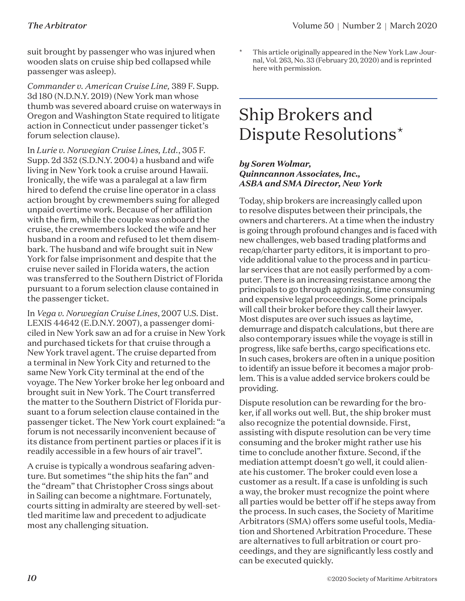suit brought by passenger who was injured when wooden slats on cruise ship bed collapsed while passenger was asleep).

*Commander v. American Cruise Line,* 389 F. Supp. 3d 180 (N.D.N.Y. 2019) (New York man whose thumb was severed aboard cruise on waterways in Oregon and Washington State required to litigate action in Connecticut under passenger ticket's forum selection clause).

In *Lurie v. Norwegian Cruise Lines, Ltd.*, 305 F. Supp. 2d 352 (S.D.N.Y. 2004) a husband and wife living in New York took a cruise around Hawaii. Ironically, the wife was a paralegal at a law firm hired to defend the cruise line operator in a class action brought by crewmembers suing for alleged unpaid overtime work. Because of her affiliation with the firm, while the couple was onboard the cruise, the crewmembers locked the wife and her husband in a room and refused to let them disembark. The husband and wife brought suit in New York for false imprisonment and despite that the cruise never sailed in Florida waters, the action was transferred to the Southern District of Florida pursuant to a forum selection clause contained in the passenger ticket.

In *Vega v. Norwegian Cruise Lines*, 2007 U.S. Dist. LEXIS 44642 (E.D.N.Y. 2007), a passenger domiciled in New York saw an ad for a cruise in New York and purchased tickets for that cruise through a New York travel agent. The cruise departed from a terminal in New York City and returned to the same New York City terminal at the end of the voyage. The New Yorker broke her leg onboard and brought suit in New York. The Court transferred the matter to the Southern District of Florida pursuant to a forum selection clause contained in the passenger ticket. The New York court explained: "a forum is not necessarily inconvenient because of its distance from pertinent parties or places if it is readily accessible in a few hours of air travel".

A cruise is typically a wondrous seafaring adventure. But sometimes "the ship hits the fan" and the "dream" that Christopher Cross sings about in Sailing can become a nightmare. Fortunately, courts sitting in admiralty are steered by well-settled maritime law and precedent to adjudicate most any challenging situation.

This article originally appeared in the New York Law Journal, Vol. 263, No. 33 (February 20, 2020) and is reprinted here with permission.

## Ship Brokers and Dispute Resolutions\*

#### *by Soren Wolmar, Quinncannon Associates, Inc., ASBA and SMA Director, New York*

Today, ship brokers are increasingly called upon to resolve disputes between their principals, the owners and charterers. At a time when the industry is going through profound changes and is faced with new challenges, web based trading platforms and recap/charter party editors, it is important to provide additional value to the process and in particular services that are not easily performed by a computer. There is an increasing resistance among the principals to go through agonizing, time consuming and expensive legal proceedings. Some principals will call their broker before they call their lawyer. Most disputes are over such issues as laytime, demurrage and dispatch calculations, but there are also contemporary issues while the voyage is still in progress, like safe berths, cargo specifications etc. In such cases, brokers are often in a unique position to identify an issue before it becomes a major problem. This is a value added service brokers could be providing.

Dispute resolution can be rewarding for the broker, if all works out well. But, the ship broker must also recognize the potential downside. First, assisting with dispute resolution can be very time consuming and the broker might rather use his time to conclude another fixture. Second, if the mediation attempt doesn't go well, it could alienate his customer. The broker could even lose a customer as a result. If a case is unfolding is such a way, the broker must recognize the point where all parties would be better off if he steps away from the process. In such cases, the Society of Maritime Arbitrators (SMA) offers some useful tools, Mediation and Shortened Arbitration Procedure. These are alternatives to full arbitration or court proceedings, and they are significantly less costly and can be executed quickly.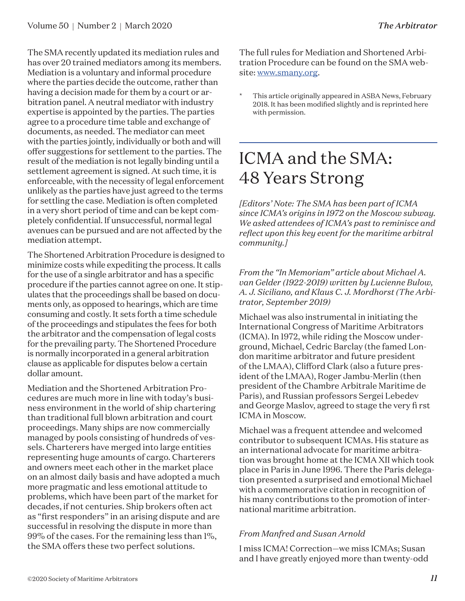The SMA recently updated its mediation rules and has over 20 trained mediators among its members. Mediation is a voluntary and informal procedure where the parties decide the outcome, rather than having a decision made for them by a court or arbitration panel. A neutral mediator with industry expertise is appointed by the parties. The parties agree to a procedure time table and exchange of documents, as needed. The mediator can meet with the parties jointly, individually or both and will offer suggestions for settlement to the parties. The result of the mediation is not legally binding until a settlement agreement is signed. At such time, it is enforceable, with the necessity of legal enforcement unlikely as the parties have just agreed to the terms for settling the case. Mediation is often completed in a very short period of time and can be kept completely confidential. If unsuccessful, normal legal avenues can be pursued and are not affected by the mediation attempt.

The Shortened Arbitration Procedure is designed to minimize costs while expediting the process. It calls for the use of a single arbitrator and has a specific procedure if the parties cannot agree on one. It stipulates that the proceedings shall be based on documents only, as opposed to hearings, which are time consuming and costly. It sets forth a time schedule of the proceedings and stipulates the fees for both the arbitrator and the compensation of legal costs for the prevailing party. The Shortened Procedure is normally incorporated in a general arbitration clause as applicable for disputes below a certain dollar amount.

Mediation and the Shortened Arbitration Procedures are much more in line with today's business environment in the world of ship chartering than traditional full blown arbitration and court proceedings. Many ships are now commercially managed by pools consisting of hundreds of vessels. Charterers have merged into large entities representing huge amounts of cargo. Charterers and owners meet each other in the market place on an almost daily basis and have adopted a much more pragmatic and less emotional attitude to problems, which have been part of the market for decades, if not centuries. Ship brokers often act as "first responders" in an arising dispute and are successful in resolving the dispute in more than 99% of the cases. For the remaining less than 1%, the SMA offers these two perfect solutions.

The full rules for Mediation and Shortened Arbitration Procedure can be found on the SMA website: [www.smany.org](http://www.smany.org).

This article originally appeared in ASBA News, February 2018. It has been modified slightly and is reprinted here with permission.

## ICMA and the SMA: 48 Years Strong

*[Editors' Note: The SMA has been part of ICMA since ICMA's origins in 1972 on the Moscow subway. We asked attendees of ICMA's past to reminisce and reflect upon this key event for the maritime arbitral community.]*

*From the "In Memoriam" article about Michael A. van Gelder (1922-2019) written by Lucienne Bulow, A. J. Siciliano, and Klaus C. J. Mordhorst (The Arbitrator, September 2019)*

Michael was also instrumental in initiating the International Congress of Maritime Arbitrators (ICMA). In 1972, while riding the Moscow underground, Michael, Cedric Barclay (the famed London maritime arbitrator and future president of the LMAA), Clifford Clark (also a future president of the LMAA), Roger Jambu-Merlin (then president of the Chambre Arbitrale Maritime de Paris), and Russian professors Sergei Lebedev and George Maslov, agreed to stage the very fi rst ICMA in Moscow.

Michael was a frequent attendee and welcomed contributor to subsequent ICMAs. His stature as an international advocate for maritime arbitration was brought home at the ICMA XII which took place in Paris in June 1996. There the Paris delegation presented a surprised and emotional Michael with a commemorative citation in recognition of his many contributions to the promotion of international maritime arbitration.

#### *From Manfred and Susan Arnold*

I miss ICMA! Correction—we miss ICMAs; Susan and I have greatly enjoyed more than twenty-odd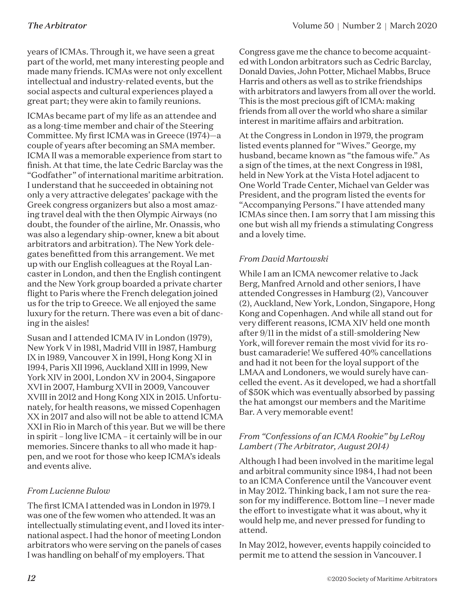years of ICMAs. Through it, we have seen a great part of the world, met many interesting people and made many friends. ICMAs were not only excellent intellectual and industry-related events, but the social aspects and cultural experiences played a great part; they were akin to family reunions.

ICMAs became part of my life as an attendee and as a long-time member and chair of the Steering Committee. My first ICMA was in Greece (1974)—a couple of years after becoming an SMA member. ICMA II was a memorable experience from start to finish. At that time, the late Cedric Barclay was the "Godfather" of international maritime arbitration. I understand that he succeeded in obtaining not only a very attractive delegates' package with the Greek congress organizers but also a most amazing travel deal with the then Olympic Airways (no doubt, the founder of the airline, Mr. Onassis, who was also a legendary ship-owner, knew a bit about arbitrators and arbitration). The New York delegates benefitted from this arrangement. We met up with our English colleagues at the Royal Lancaster in London, and then the English contingent and the New York group boarded a private charter flight to Paris where the French delegation joined us for the trip to Greece. We all enjoyed the same luxury for the return. There was even a bit of dancing in the aisles!

Susan and I attended ICMA IV in London (1979), New York V in 1981, Madrid VIII in 1987, Hamburg IX in 1989, Vancouver X in 1991, Hong Kong XI in 1994, Paris XII 1996, Auckland XIII in 1999, New York XIV in 2001, London XV in 2004, Singapore XVI in 2007, Hamburg XVII in 2009, Vancouver XVIII in 2012 and Hong Kong XIX in 2015. Unfortunately, for health reasons, we missed Copenhagen XX in 2017 and also will not be able to attend ICMA XXI in Rio in March of this year. But we will be there in spirit – long live ICMA – it certainly will be in our memories. Sincere thanks to all who made it happen, and we root for those who keep ICMA's ideals and events alive.

#### *From Lucienne Bulow*

The first ICMA I attended was in London in 1979. I was one of the few women who attended. It was an intellectually stimulating event, and I loved its international aspect. I had the honor of meeting London arbitrators who were serving on the panels of cases I was handling on behalf of my employers. That

Congress gave me the chance to become acquainted with London arbitrators such as Cedric Barclay, Donald Davies, John Potter, Michael Mabbs, Bruce Harris and others as well as to strike friendships with arbitrators and lawyers from all over the world. This is the most precious gift of ICMA: making friends from all over the world who share a similar interest in maritime affairs and arbitration.

At the Congress in London in 1979, the program listed events planned for "Wives." George, my husband, became known as "the famous wife." As a sign of the times, at the next Congress in 1981, held in New York at the Vista Hotel adjacent to One World Trade Center, Michael van Gelder was President, and the program listed the events for "Accompanying Persons." I have attended many ICMAs since then. I am sorry that I am missing this one but wish all my friends a stimulating Congress and a lovely time.

#### *From David Martowski*

While I am an ICMA newcomer relative to Jack Berg, Manfred Arnold and other seniors, I have attended Congresses in Hamburg (2), Vancouver (2), Auckland, New York, London, Singapore, Hong Kong and Copenhagen. And while all stand out for very different reasons, ICMA XIV held one month after 9/11 in the midst of a still-smoldering New York, will forever remain the most vivid for its robust camaraderie! We suffered 40% cancellations and had it not been for the loyal support of the LMAA and Londoners, we would surely have cancelled the event. As it developed, we had a shortfall of \$50K which was eventually absorbed by passing the hat amongst our members and the Maritime Bar. A very memorable event!

#### *From "Confessions of an ICMA Rookie" by LeRoy Lambert (The Arbitrator, August 2014)*

Although I had been involved in the maritime legal and arbitral community since 1984, I had not been to an ICMA Conference until the Vancouver event in May 2012. Thinking back, I am not sure the reason for my indifference. Bottom line—I never made the effort to investigate what it was about, why it would help me, and never pressed for funding to attend.

In May 2012, however, events happily coincided to permit me to attend the session in Vancouver. I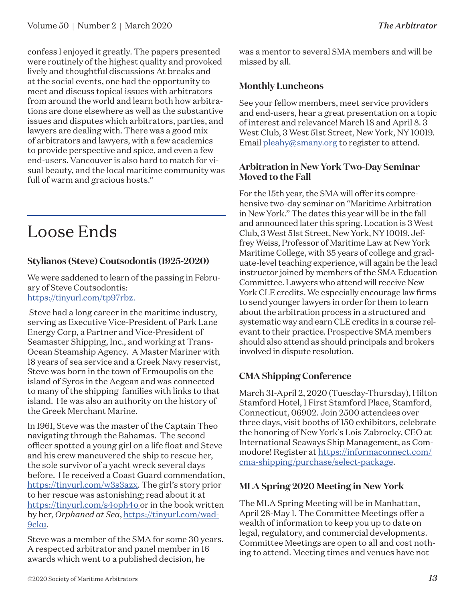confess I enjoyed it greatly. The papers presented were routinely of the highest quality and provoked lively and thoughtful discussions At breaks and at the social events, one had the opportunity to meet and discuss topical issues with arbitrators from around the world and learn both how arbitrations are done elsewhere as well as the substantive issues and disputes which arbitrators, parties, and lawyers are dealing with. There was a good mix of arbitrators and lawyers, with a few academics to provide perspective and spice, and even a few end-users. Vancouver is also hard to match for visual beauty, and the local maritime community was full of warm and gracious hosts."

## Loose Ends

#### **Stylianos (Steve) Coutsodontis (1925-2020)**

We were saddened to learn of the passing in February of Steve Coutsodontis: <https://tinyurl.com/tp97rbz>.

 Steve had a long career in the maritime industry, serving as Executive Vice-President of Park Lane Energy Corp, a Partner and Vice-President of Seamaster Shipping, Inc., and working at Trans-Ocean Steamship Agency. A Master Mariner with 18 years of sea service and a Greek Navy reservist, Steve was born in the town of Ermoupolis on the island of Syros in the Aegean and was connected to many of the shipping families with links to that island. He was also an authority on the history of the Greek Merchant Marine.

In 1961, Steve was the master of the Captain Theo navigating through the Bahamas. The second officer spotted a young girl on a life float and Steve and his crew maneuvered the ship to rescue her, the sole survivor of a yacht wreck several days before. He received a Coast Guard commendation, <https://tinyurl.com/w3s3azx>. The girl's story prior to her rescue was astonishing; read about it at [https://tinyurl.com/s4oph4o](https://tinyurl.com/s4oph4o ) or in the book written by her, *Orphaned at Sea*, [https://tinyurl.com/wad-](https://tinyurl.com/wad9cku)[9cku](https://tinyurl.com/wad9cku).

Steve was a member of the SMA for some 30 years. A respected arbitrator and panel member in 16 awards which went to a published decision, he

was a mentor to several SMA members and will be missed by all.

#### **Monthly Luncheons**

See your fellow members, meet service providers and end-users, hear a great presentation on a topic of interest and relevance! March 18 and April 8. 3 West Club, 3 West 51st Street, New York, NY 10019. Email [pleahy@smany.org](mailto:pleahy%40smany.org?subject=) to register to attend.

#### **Arbitration in New York Two-Day Seminar Moved to the Fall**

For the 15th year, the SMA will offer its comprehensive two-day seminar on "Maritime Arbitration in New York." The dates this year will be in the fall and announced later this spring. Location is 3 West Club, 3 West 51st Street, New York, NY 10019. Jeffrey Weiss, Professor of Maritime Law at New York Maritime College, with 35 years of college and graduate-level teaching experience, will again be the lead instructor joined by members of the SMA Education Committee. Lawyers who attend will receive New York CLE credits. We especially encourage law firms to send younger lawyers in order for them to learn about the arbitration process in a structured and systematic way and earn CLE credits in a course relevant to their practice. Prospective SMA members should also attend as should principals and brokers involved in dispute resolution.

### **CMA Shipping Conference**

March 31-April 2, 2020 (Tuesday-Thursday), Hilton Stamford Hotel, 1 First Stamford Place, Stamford, Connecticut, 06902. Join 2500 attendees over three days, visit booths of 150 exhibitors, celebrate the honoring of New York's Lois Zabrocky, CEO at International Seaways Ship Management, as Commodore! Register at [https://informaconnect.com/](https://informaconnect.com/cma-shipping/purchase/select-package) [cma-shipping/purchase/select-package.](https://informaconnect.com/cma-shipping/purchase/select-package)

#### **MLA Spring 2020 Meeting in New York**

The MLA Spring Meeting will be in Manhattan, April 28-May 1. The Committee Meetings offer a wealth of information to keep you up to date on legal, regulatory, and commercial developments. Committee Meetings are open to all and cost nothing to attend. Meeting times and venues have not